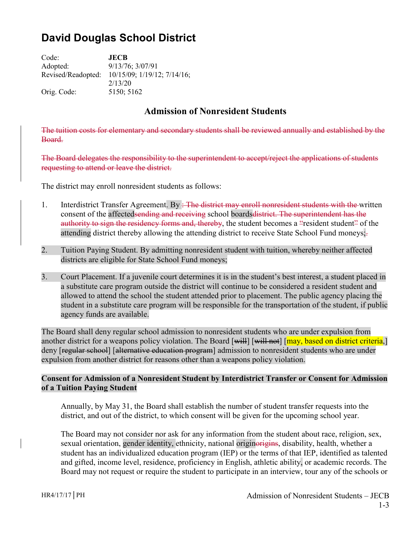# **David Douglas School District**

Code: **JECB** Adopted: 9/13/76; 3/07/91 Revised/Readopted: 10/15/09; 1/19/12; 7/14/16; 2/13/20 Orig. Code: 5150; 5162

## **Admission of Nonresident Students**

The tuition costs for elementary and secondary students shall be reviewed annually and established by the Board.

The Board delegates the responsibility to the superintendent to accept/reject the applications of students requesting to attend or leave the district.

The district may enroll nonresident students as follows:

- 1. Interdistrict Transfer Agreement. By : The district may enroll nonresident students with the written consent of the affectedsending and receiving school boards district. The superintendent has the authority to sign the residency forms and, thereby, the student becomes a "resident student" of the attending district thereby allowing the attending district to receive State School Fund moneys;
- 2. Tuition Paying Student. By admitting nonresident student with tuition, whereby neither affected districts are eligible for State School Fund moneys;
- 3. Court Placement. If a juvenile court determines it is in the student's best interest, a student placed in a substitute care program outside the district will continue to be considered a resident student and allowed to attend the school the student attended prior to placement. The public agency placing the student in a substitute care program will be responsible for the transportation of the student, if public agency funds are available.

The Board shall deny regular school admission to nonresident students who are under expulsion from another district for a weapons policy violation. The Board  $[\overline{\text{will}}]$   $[\overline{\text{will}}]$  not  $[\overline{\text{may}}]$ , based on district criteria, deny [regular school] [alternative education program] admission to nonresident students who are under expulsion from another district for reasons other than a weapons policy violation.

### **Consent for Admission of a Nonresident Student by Interdistrict Transfer or Consent for Admission of a Tuition Paying Student**

Annually, by May 31, the Board shall establish the number of student transfer requests into the district, and out of the district, to which consent will be given for the upcoming school year.

The Board may not consider nor ask for any information from the student about race, religion, sex, sexual orientation, gender identity, ethnicity, national originorigins, disability, health, whether a student has an individualized education program (IEP) or the terms of that IEP, identified as talented and gifted, income level, residence, proficiency in English, athletic ability, or academic records. The Board may not request or require the student to participate in an interview, tour any of the schools or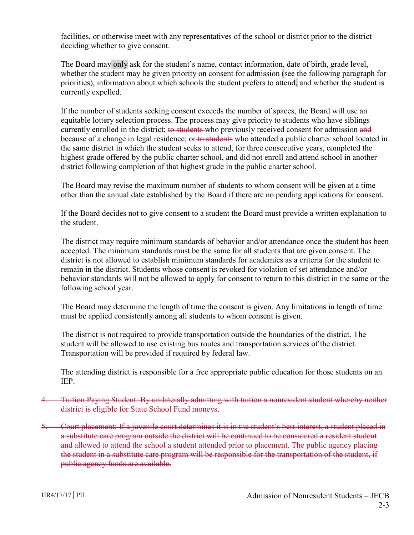facilities, or otherwise meet with any representatives of the school or district prior to the district deciding whether to give consent.

The Board may only ask for the student's name, contact information, date of birth, grade level, whether the student may be given priority on consent for admission (see the following paragraph for priorities), information about which schools the student prefers to attend, and whether the student is currently expelled.

If the number of students seeking consent exceeds the number of spaces, the Board will use an equitable lottery selection process. The process may give priority to students who have siblings currently enrolled in the district; to students who previously received consent for admission and because of a change in legal residence; or to students who attended a public charter school located in the same district in which the student seeks to attend, for three consecutive years, completed the highest grade offered by the public charter school, and did not enroll and attend school in another district following completion of that highest grade in the public charter school.

The Board may revise the maximum number of students to whom consent will be given at a time other than the annual date established by the Board if there are no pending applications for consent.

If the Board decides not to give consent to a student the Board must provide a written explanation to the student.

The district may require minimum standards of behavior and/or attendance once the student has been accepted. The minimum standards must be the same for all students that are given consent. The district is not allowed to establish minimum standards for academics as a criteria for the student to remain in the district. Students whose consent is revoked for violation of set attendance and/or behavior standards will not be allowed to apply for consent to return to this district in the same or the following school year.

The Board may determine the length of time the consent is given. Any limitations in length of time must be applied consistently among all students to whom consent is given.

The district is not required to provide transportation outside the boundaries of the district. The student will be allowed to use existing bus routes and transportation services of the district. Transportation will be provided if required by federal law.

The attending district is responsible for a free appropriate public education for those students on an IEP.

- 4. Tuition Paying Student: By unilaterally admitting with tuition a nonresident student whereby neither district is eligible for State School Fund moneys.
- 5. Court placement: If a juvenile court determines it is in the student's best interest, a student placed in a substitute care program outside the district will be continued to be considered a resident student and allowed to attend the school a student attended prior to placement. The public agency placing the student in a substitute care program will be responsible for the transportation of the student, if public agency funds are available.